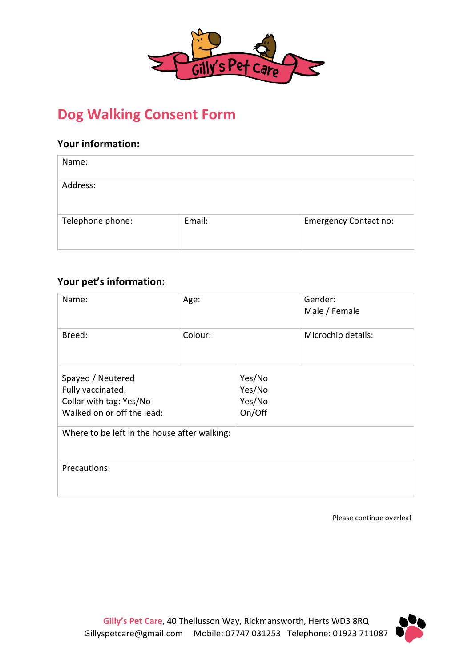

# **Dog Walking Consent Form**

## **Your information:**

| Name:            |        |                              |
|------------------|--------|------------------------------|
| Address:         |        |                              |
| Telephone phone: | Email: | <b>Emergency Contact no:</b> |

### **Your pet's information:**

| Name:                                                                                           | Age:    |                                      | Gender:<br>Male / Female |  |
|-------------------------------------------------------------------------------------------------|---------|--------------------------------------|--------------------------|--|
| Breed:                                                                                          | Colour: |                                      | Microchip details:       |  |
| Spayed / Neutered<br>Fully vaccinated:<br>Collar with tag: Yes/No<br>Walked on or off the lead: |         | Yes/No<br>Yes/No<br>Yes/No<br>On/Off |                          |  |
| Where to be left in the house after walking:                                                    |         |                                      |                          |  |
| Precautions:                                                                                    |         |                                      |                          |  |

Please continue overleaf